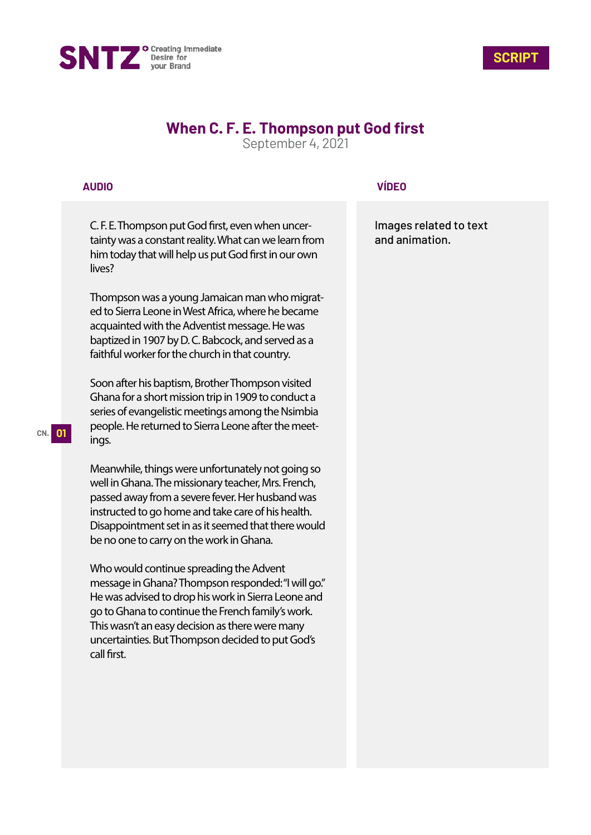



# **When C. F. E. Thompson put God first**

September 4, 2021

## **AUDIO**

C. F. E. Thompson put God first, even when uncertainty was a constant reality. What can we learn from him today that will help us put God first in our own lives?

Thompson was a young Jamaican man who migrated to Sierra Leone in West Africa, where he became acquainted with the Adventist message. He was baptized in 1907 by D. C. Babcock, and served as a faithful worker for the church in that country.

Soon after his baptism, Brother Thompson visited Ghana for a short mission trip in 1909 to conduct a series of evangelistic meetings among the Nsimbia people. He returned to Sierra Leone after the meetings.

Meanwhile, things were unfortunately not going so well in Ghana. The missionary teacher, Mrs. French, passed away from a severe fever. Her husband was instructed to go home and take care of his health. Disappointment set in as it seemed that there would be no one to carry on the work in Ghana.

Who would continue spreading the Advent message in Ghana? Thompson responded: "I will go." He was advised to drop his work in Sierra Leone and go to Ghana to continue the French family's work. This wasn't an easy decision as there were many uncertainties. But Thompson decided to put God's call first.

### **VÍDEO**

Images related to text and animation.